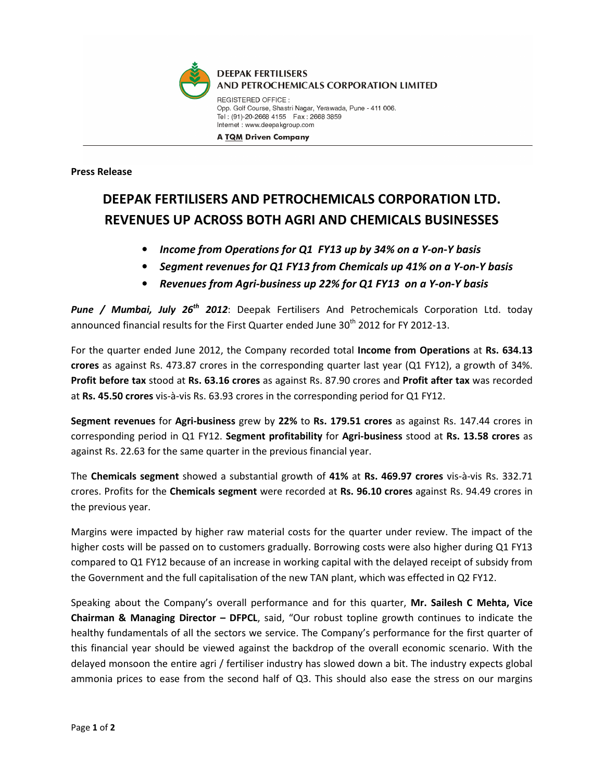

**A TQM Driven Company** 

Press Release

## DEEPAK FERTILISERS AND PETROCHEMICALS CORPORATION LTD. REVENUES UP ACROSS BOTH AGRI AND CHEMICALS BUSINESSES

- Income from Operations for Q1 FY13 up by 34% on a Y-on-Y basis
- Segment revenues for Q1 FY13 from Chemicals up 41% on a Y-on-Y basis
- Revenues from Agri-business up 22% for Q1 FY13 on a Y-on-Y basis

Pune / Mumbai, July 26<sup>th</sup> 2012: Deepak Fertilisers And Petrochemicals Corporation Ltd. today announced financial results for the First Quarter ended June 30<sup>th</sup> 2012 for FY 2012-13.

For the quarter ended June 2012, the Company recorded total Income from Operations at Rs. 634.13 crores as against Rs. 473.87 crores in the corresponding quarter last year (Q1 FY12), a growth of 34%. Profit before tax stood at Rs. 63.16 crores as against Rs. 87.90 crores and Profit after tax was recorded at Rs. 45.50 crores vis-à-vis Rs. 63.93 crores in the corresponding period for Q1 FY12.

Segment revenues for Agri-business grew by 22% to Rs. 179.51 crores as against Rs. 147.44 crores in corresponding period in Q1 FY12. Segment profitability for Agri-business stood at Rs. 13.58 crores as against Rs. 22.63 for the same quarter in the previous financial year.

The Chemicals segment showed a substantial growth of 41% at Rs. 469.97 crores vis-à-vis Rs. 332.71 crores. Profits for the Chemicals segment were recorded at Rs. 96.10 crores against Rs. 94.49 crores in the previous year.

Margins were impacted by higher raw material costs for the quarter under review. The impact of the higher costs will be passed on to customers gradually. Borrowing costs were also higher during Q1 FY13 compared to Q1 FY12 because of an increase in working capital with the delayed receipt of subsidy from the Government and the full capitalisation of the new TAN plant, which was effected in Q2 FY12.

Speaking about the Company's overall performance and for this quarter, Mr. Sailesh C Mehta, Vice Chairman & Managing Director – DFPCL, said, "Our robust topline growth continues to indicate the healthy fundamentals of all the sectors we service. The Company's performance for the first quarter of this financial year should be viewed against the backdrop of the overall economic scenario. With the delayed monsoon the entire agri / fertiliser industry has slowed down a bit. The industry expects global ammonia prices to ease from the second half of Q3. This should also ease the stress on our margins